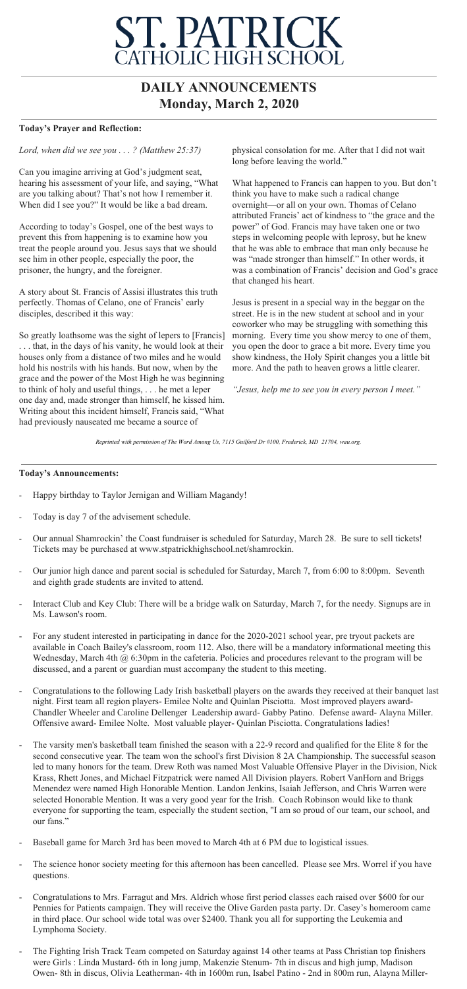## **ST. PATRICK**<br>CATHOLIC HIGH SCHOOL

## **DAILY ANNOUNCEMENTS Monday, March 2, 2020**

## **Today's Prayer and Reflection:**

*Lord, when did we see you . . . ? (Matthew 25:37)*

Can you imagine arriving at God's judgment seat, hearing his assessment of your life, and saying, "What are you talking about? That's not how I remember it. When did I see you?" It would be like a bad dream.

According to today's Gospel, one of the best ways to prevent this from happening is to examine how you treat the people around you. Jesus says that we should see him in other people, especially the poor, the prisoner, the hungry, and the foreigner.

A story about St. Francis of Assisi illustrates this truth perfectly. Thomas of Celano, one of Francis' early disciples, described it this way:

So greatly loathsome was the sight of lepers to [Francis] . . . that, in the days of his vanity, he would look at their houses only from a distance of two miles and he would hold his nostrils with his hands. But now, when by the grace and the power of the Most High he was beginning to think of holy and useful things, . . . he met a leper one day and, made stronger than himself, he kissed him. Writing about this incident himself, Francis said, "What had previously nauseated me became a source of

physical consolation for me. After that I did not wait long before leaving the world."

What happened to Francis can happen to you. But don't think you have to make such a radical change overnight—or all on your own. Thomas of Celano attributed Francis' act of kindness to "the grace and the power" of God. Francis may have taken one or two steps in welcoming people with leprosy, but he knew that he was able to embrace that man only because he was "made stronger than himself." In other words, it was a combination of Francis' decision and God's grace that changed his heart.

Jesus is present in a special way in the beggar on the street. He is in the new student at school and in your coworker who may be struggling with something this morning. Every time you show mercy to one of them, you open the door to grace a bit more. Every time you show kindness, the Holy Spirit changes you a little bit more. And the path to heaven grows a little clearer.

*"Jesus, help me to see you in every person I meet."*

*Reprinted with permission of The Word Among Us, 7115 Guilford Dr #100, Frederick, MD 21704, wau.org.*

## **Today's Announcements:**

- Happy birthday to Taylor Jernigan and William Magandy!
- Today is day 7 of the advisement schedule.
- Our annual Shamrockin' the Coast fundraiser is scheduled for Saturday, March 28. Be sure to sell tickets! Tickets may be purchased at www.stpatrickhighschool.net/shamrockin.
- Our junior high dance and parent social is scheduled for Saturday, March 7, from 6:00 to 8:00pm. Seventh and eighth grade students are invited to attend.
- Interact Club and Key Club: There will be a bridge walk on Saturday, March 7, for the needy. Signups are in Ms. Lawson's room.
- For any student interested in participating in dance for the 2020-2021 school year, pre tryout packets are available in Coach Bailey's classroom, room 112. Also, there will be a mandatory informational meeting this Wednesday, March 4th @ 6:30pm in the cafeteria. Policies and procedures relevant to the program will be discussed, and a parent or guardian must accompany the student to this meeting.
- Congratulations to the following Lady Irish basketball players on the awards they received at their banquet last night. First team all region players- Emilee Nolte and Quinlan Pisciotta. Most improved players award-Chandler Wheeler and Caroline Dellenger Leadership award- Gabby Patino. Defense award- Alayna Miller. Offensive award- Emilee Nolte. Most valuable player- Quinlan Pisciotta. Congratulations ladies!
- The varsity men's basketball team finished the season with a 22-9 record and qualified for the Elite 8 for the second consecutive year. The team won the school's first Division 8 2A Championship. The successful season led to many honors for the team. Drew Roth was named Most Valuable Offensive Player in the Division, Nick Krass, Rhett Jones, and Michael Fitzpatrick were named All Division players. Robert VanHorn and Briggs Menendez were named High Honorable Mention. Landon Jenkins, Isaiah Jefferson, and Chris Warren were selected Honorable Mention. It was a very good year for the Irish. Coach Robinson would like to thank everyone for supporting the team, especially the student section, "I am so proud of our team, our school, and our fans."
- Baseball game for March 3rd has been moved to March 4th at 6 PM due to logistical issues.
- The science honor society meeting for this afternoon has been cancelled. Please see Mrs. Worrel if you have questions.
- Congratulations to Mrs. Farragut and Mrs. Aldrich whose first period classes each raised over \$600 for our Pennies for Patients campaign. They will receive the Olive Garden pasta party. Dr. Casey's homeroom came in third place. Our school wide total was over \$2400. Thank you all for supporting the Leukemia and Lymphoma Society.
- The Fighting Irish Track Team competed on Saturday against 14 other teams at Pass Christian top finishers were Girls : Linda Mustard- 6th in long jump, Makenzie Stenum- 7th in discus and high jump, Madison Owen- 8th in discus, Olivia Leatherman- 4th in 1600m run, Isabel Patino - 2nd in 800m run, Alayna Miller-